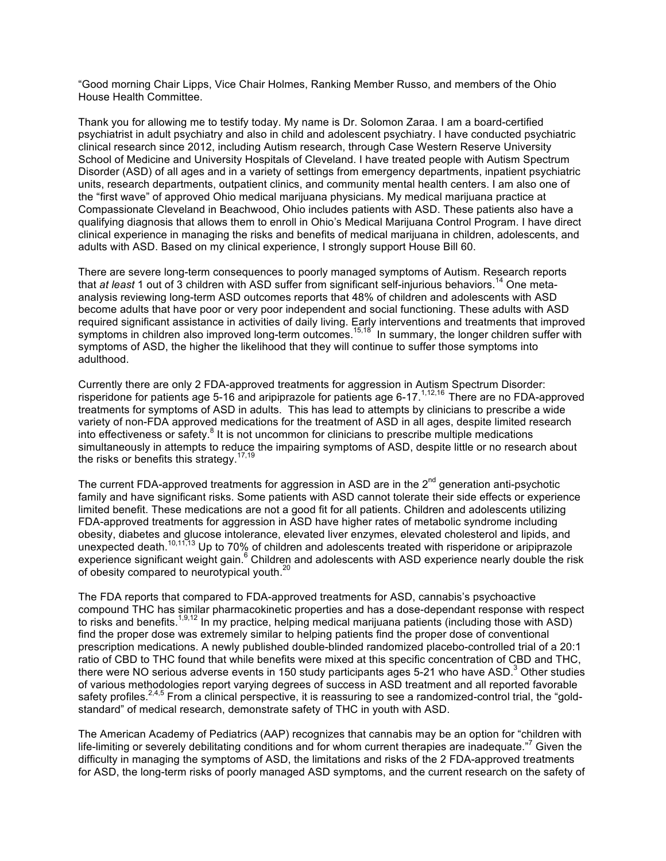"Good morning Chair Lipps, Vice Chair Holmes, Ranking Member Russo, and members of the Ohio House Health Committee.

Thank you for allowing me to testify today. My name is Dr. Solomon Zaraa. I am a board-certified psychiatrist in adult psychiatry and also in child and adolescent psychiatry. I have conducted psychiatric clinical research since 2012, including Autism research, through Case Western Reserve University School of Medicine and University Hospitals of Cleveland. I have treated people with Autism Spectrum Disorder (ASD) of all ages and in a variety of settings from emergency departments, inpatient psychiatric units, research departments, outpatient clinics, and community mental health centers. I am also one of the "first wave" of approved Ohio medical marijuana physicians. My medical marijuana practice at Compassionate Cleveland in Beachwood, Ohio includes patients with ASD. These patients also have a qualifying diagnosis that allows them to enroll in Ohio's Medical Marijuana Control Program. I have direct clinical experience in managing the risks and benefits of medical marijuana in children, adolescents, and adults with ASD. Based on my clinical experience, I strongly support House Bill 60.

There are severe long-term consequences to poorly managed symptoms of Autism. Research reports that *at least* 1 out of 3 children with ASD suffer from significant self-injurious behaviors.<sup>14</sup> One metaanalysis reviewing long-term ASD outcomes reports that 48% of children and adolescents with ASD become adults that have poor or very poor independent and social functioning. These adults with ASD required significant assistance in activities of daily living. Early interventions and treatments that improved symptoms in children also improved long-term outcomes.<sup>15,18</sup> In summary, the longer children suffer with symptoms of ASD, the higher the likelihood that they will continue to suffer those symptoms into adulthood.

Currently there are only 2 FDA-approved treatments for aggression in Autism Spectrum Disorder: risperidone for patients age 5-16 and aripiprazole for patients age 6-17.<sup>1,12,16</sup> There are no FDA-approved treatments for symptoms of ASD in adults. This has lead to attempts by clinicians to prescribe a wide variety of non-FDA approved medications for the treatment of ASD in all ages, despite limited research into effectiveness or safety.<sup>8</sup> It is not uncommon for clinicians to prescribe multiple medications simultaneously in attempts to reduce the impairing symptoms of ASD, despite little or no research about the risks or benefits this strategy.<sup>17,19</sup>

The current FDA-approved treatments for aggression in ASD are in the  $2<sup>nd</sup>$  generation anti-psychotic family and have significant risks. Some patients with ASD cannot tolerate their side effects or experience limited benefit. These medications are not a good fit for all patients. Children and adolescents utilizing FDA-approved treatments for aggression in ASD have higher rates of metabolic syndrome including obesity, diabetes and glucose intolerance, elevated liver enzymes, elevated cholesterol and lipids, and unexpected death.<sup>10,11,13</sup> Up to 70% of children and adolescents treated with risperidone or aripiprazole experience significant weight gain.<sup>6</sup> Children and adolescents with ASD experience nearly double the risk of obesity compared to neurotypical youth.<sup>20</sup>

The FDA reports that compared to FDA-approved treatments for ASD, cannabis's psychoactive compound THC has similar pharmacokinetic properties and has a dose-dependant response with respect to risks and benefits.<sup>1,9,12</sup> In my practice, helping medical marijuana patients (including those with ASD) find the proper dose was extremely similar to helping patients find the proper dose of conventional prescription medications. A newly published double-blinded randomized placebo-controlled trial of a 20:1 ratio of CBD to THC found that while benefits were mixed at this specific concentration of CBD and THC, there were NO serious adverse events in 150 study participants ages 5-21 who have ASD.<sup>3</sup> Other studies of various methodologies report varying degrees of success in ASD treatment and all reported favorable safety profiles.<sup>2,4,5</sup> From a clinical perspective, it is reassuring to see a randomized-control trial, the "goldstandard" of medical research, demonstrate safety of THC in youth with ASD.

The American Academy of Pediatrics (AAP) recognizes that cannabis may be an option for "children with life-limiting or severely debilitating conditions and for whom current therapies are inadequate.<sup>"7</sup> Given the difficulty in managing the symptoms of ASD, the limitations and risks of the 2 FDA-approved treatments for ASD, the long-term risks of poorly managed ASD symptoms, and the current research on the safety of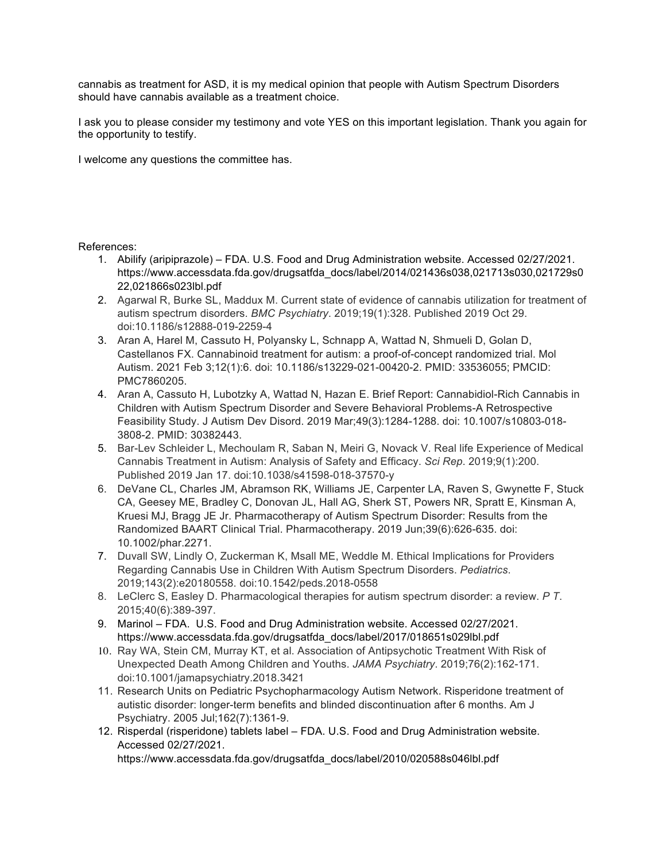cannabis as treatment for ASD, it is my medical opinion that people with Autism Spectrum Disorders should have cannabis available as a treatment choice.

I ask you to please consider my testimony and vote YES on this important legislation. Thank you again for the opportunity to testify.

I welcome any questions the committee has.

## References:

- 1. Abilify (aripiprazole) FDA. U.S. Food and Drug Administration website. Accessed 02/27/2021. https://www.accessdata.fda.gov/drugsatfda\_docs/label/2014/021436s038,021713s030,021729s0 22,021866s023lbl.pdf
- 2. Agarwal R, Burke SL, Maddux M. Current state of evidence of cannabis utilization for treatment of autism spectrum disorders. *BMC Psychiatry*. 2019;19(1):328. Published 2019 Oct 29. doi:10.1186/s12888-019-2259-4
- 3. Aran A, Harel M, Cassuto H, Polyansky L, Schnapp A, Wattad N, Shmueli D, Golan D, Castellanos FX. Cannabinoid treatment for autism: a proof-of-concept randomized trial. Mol Autism. 2021 Feb 3;12(1):6. doi: 10.1186/s13229-021-00420-2. PMID: 33536055; PMCID: PMC7860205.
- 4. Aran A, Cassuto H, Lubotzky A, Wattad N, Hazan E. Brief Report: Cannabidiol-Rich Cannabis in Children with Autism Spectrum Disorder and Severe Behavioral Problems-A Retrospective Feasibility Study. J Autism Dev Disord. 2019 Mar;49(3):1284-1288. doi: 10.1007/s10803-018- 3808-2. PMID: 30382443.
- 5. Bar-Lev Schleider L, Mechoulam R, Saban N, Meiri G, Novack V. Real life Experience of Medical Cannabis Treatment in Autism: Analysis of Safety and Efficacy. *Sci Rep*. 2019;9(1):200. Published 2019 Jan 17. doi:10.1038/s41598-018-37570-y
- 6. DeVane CL, Charles JM, Abramson RK, Williams JE, Carpenter LA, Raven S, Gwynette F, Stuck CA, Geesey ME, Bradley C, Donovan JL, Hall AG, Sherk ST, Powers NR, Spratt E, Kinsman A, Kruesi MJ, Bragg JE Jr. Pharmacotherapy of Autism Spectrum Disorder: Results from the Randomized BAART Clinical Trial. Pharmacotherapy. 2019 Jun;39(6):626-635. doi: 10.1002/phar.2271.
- 7. Duvall SW, Lindly O, Zuckerman K, Msall ME, Weddle M. Ethical Implications for Providers Regarding Cannabis Use in Children With Autism Spectrum Disorders. *Pediatrics*. 2019;143(2):e20180558. doi:10.1542/peds.2018-0558
- 8. LeClerc S, Easley D. Pharmacological therapies for autism spectrum disorder: a review. *P T*. 2015;40(6):389-397.
- 9. Marinol FDA. U.S. Food and Drug Administration website. Accessed 02/27/2021. https://www.accessdata.fda.gov/drugsatfda\_docs/label/2017/018651s029lbl.pdf
- 10. Ray WA, Stein CM, Murray KT, et al. Association of Antipsychotic Treatment With Risk of Unexpected Death Among Children and Youths. *JAMA Psychiatry*. 2019;76(2):162-171. doi:10.1001/jamapsychiatry.2018.3421
- 11. Research Units on Pediatric Psychopharmacology Autism Network. Risperidone treatment of autistic disorder: longer-term benefits and blinded discontinuation after 6 months. Am J Psychiatry. 2005 Jul;162(7):1361-9.
- 12. Risperdal (risperidone) tablets label FDA. U.S. Food and Drug Administration website. Accessed 02/27/2021. https://www.accessdata.fda.gov/drugsatfda\_docs/label/2010/020588s046lbl.pdf